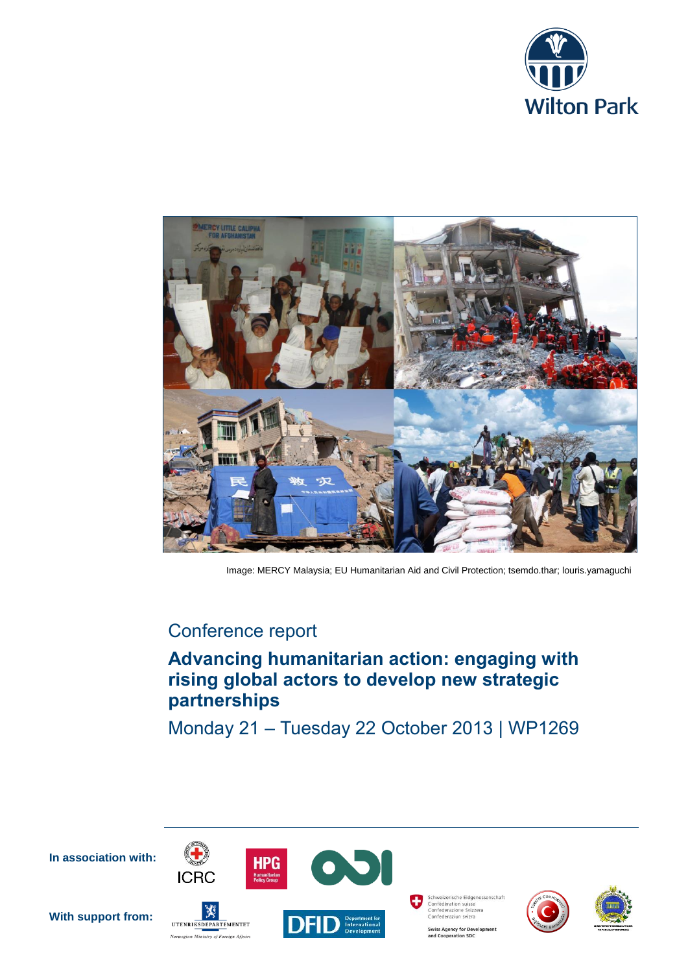



Image: MERCY Malaysia; EU Humanitarian Aid and Civil Protection; tsemdo.thar; louris.yamaguchi

## Conference report

# **Advancing humanitarian action: engaging with rising global actors to develop new strategic partnerships**

Monday 21 – Tuesday 22 October 2013 | WP1269

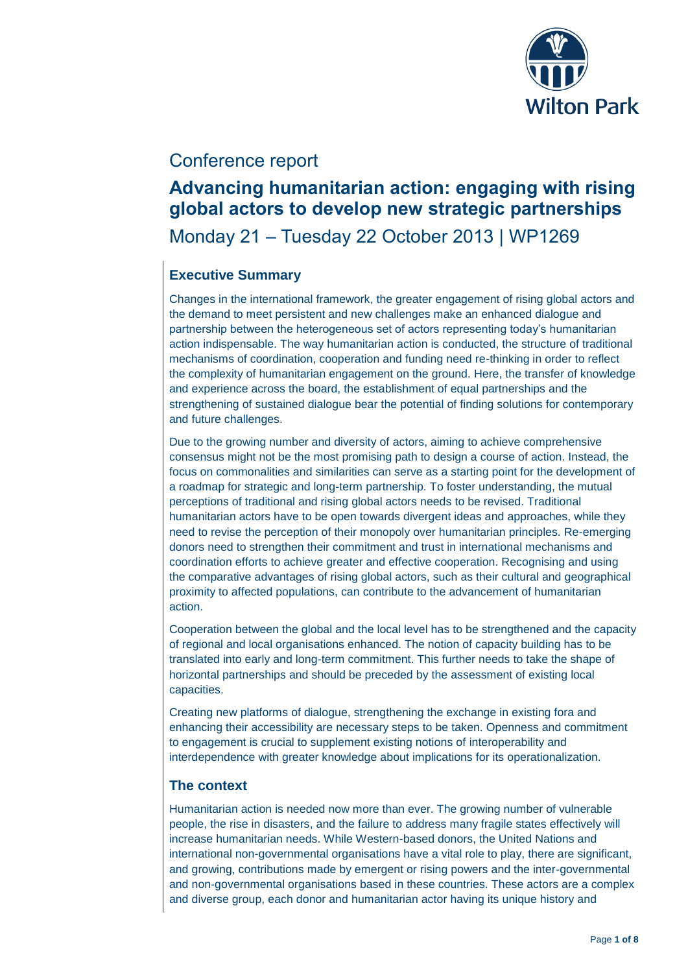

## Conference report

## **Advancing humanitarian action: engaging with rising global actors to develop new strategic partnerships**

Monday 21 – Tuesday 22 October 2013 | WP1269

## **Executive Summary**

Changes in the international framework, the greater engagement of rising global actors and the demand to meet persistent and new challenges make an enhanced dialogue and partnership between the heterogeneous set of actors representing today's humanitarian action indispensable. The way humanitarian action is conducted, the structure of traditional mechanisms of coordination, cooperation and funding need re-thinking in order to reflect the complexity of humanitarian engagement on the ground. Here, the transfer of knowledge and experience across the board, the establishment of equal partnerships and the strengthening of sustained dialogue bear the potential of finding solutions for contemporary and future challenges.

Due to the growing number and diversity of actors, aiming to achieve comprehensive consensus might not be the most promising path to design a course of action. Instead, the focus on commonalities and similarities can serve as a starting point for the development of a roadmap for strategic and long-term partnership. To foster understanding, the mutual perceptions of traditional and rising global actors needs to be revised. Traditional humanitarian actors have to be open towards divergent ideas and approaches, while they need to revise the perception of their monopoly over humanitarian principles. Re-emerging donors need to strengthen their commitment and trust in international mechanisms and coordination efforts to achieve greater and effective cooperation. Recognising and using the comparative advantages of rising global actors, such as their cultural and geographical proximity to affected populations, can contribute to the advancement of humanitarian action.

Cooperation between the global and the local level has to be strengthened and the capacity of regional and local organisations enhanced. The notion of capacity building has to be translated into early and long-term commitment. This further needs to take the shape of horizontal partnerships and should be preceded by the assessment of existing local capacities.

Creating new platforms of dialogue, strengthening the exchange in existing fora and enhancing their accessibility are necessary steps to be taken. Openness and commitment to engagement is crucial to supplement existing notions of interoperability and interdependence with greater knowledge about implications for its operationalization.

## **The context**

Humanitarian action is needed now more than ever. The growing number of vulnerable people, the rise in disasters, and the failure to address many fragile states effectively will increase humanitarian needs. While Western-based donors, the United Nations and international non-governmental organisations have a vital role to play, there are significant, and growing, contributions made by emergent or rising powers and the inter-governmental and non-governmental organisations based in these countries. These actors are a complex and diverse group, each donor and humanitarian actor having its unique history and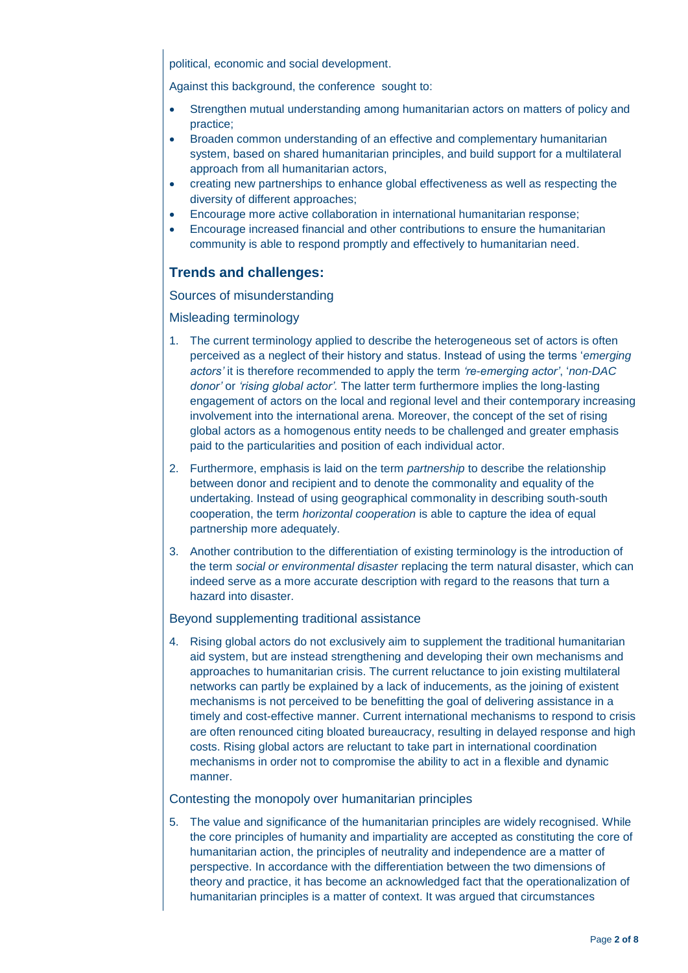political, economic and social development.

Against this background, the conference sought to:

- Strengthen mutual understanding among humanitarian actors on matters of policy and practice;
- Broaden common understanding of an effective and complementary humanitarian system, based on shared humanitarian principles, and build support for a multilateral approach from all humanitarian actors,
- creating new partnerships to enhance global effectiveness as well as respecting the diversity of different approaches;
- Encourage more active collaboration in international humanitarian response;
- Encourage increased financial and other contributions to ensure the humanitarian community is able to respond promptly and effectively to humanitarian need.

## **Trends and challenges:**

#### Sources of misunderstanding

#### Misleading terminology

- 1. The current terminology applied to describe the heterogeneous set of actors is often perceived as a neglect of their history and status. Instead of using the terms '*emerging actors'* it is therefore recommended to apply the term *'re-emerging actor'*, '*non-DAC donor'* or *'rising global actor'.* The latter term furthermore implies the long-lasting engagement of actors on the local and regional level and their contemporary increasing involvement into the international arena. Moreover, the concept of the set of rising global actors as a homogenous entity needs to be challenged and greater emphasis paid to the particularities and position of each individual actor.
- 2. Furthermore, emphasis is laid on the term *partnership* to describe the relationship between donor and recipient and to denote the commonality and equality of the undertaking. Instead of using geographical commonality in describing south-south cooperation, the term *horizontal cooperation* is able to capture the idea of equal partnership more adequately.
- 3. Another contribution to the differentiation of existing terminology is the introduction of the term *social or environmental disaster* replacing the term natural disaster, which can indeed serve as a more accurate description with regard to the reasons that turn a hazard into disaster.

#### Beyond supplementing traditional assistance

4. Rising global actors do not exclusively aim to supplement the traditional humanitarian aid system, but are instead strengthening and developing their own mechanisms and approaches to humanitarian crisis. The current reluctance to join existing multilateral networks can partly be explained by a lack of inducements, as the joining of existent mechanisms is not perceived to be benefitting the goal of delivering assistance in a timely and cost-effective manner. Current international mechanisms to respond to crisis are often renounced citing bloated bureaucracy, resulting in delayed response and high costs. Rising global actors are reluctant to take part in international coordination mechanisms in order not to compromise the ability to act in a flexible and dynamic manner.

#### Contesting the monopoly over humanitarian principles

5. The value and significance of the humanitarian principles are widely recognised. While the core principles of humanity and impartiality are accepted as constituting the core of humanitarian action, the principles of neutrality and independence are a matter of perspective. In accordance with the differentiation between the two dimensions of theory and practice, it has become an acknowledged fact that the operationalization of humanitarian principles is a matter of context. It was argued that circumstances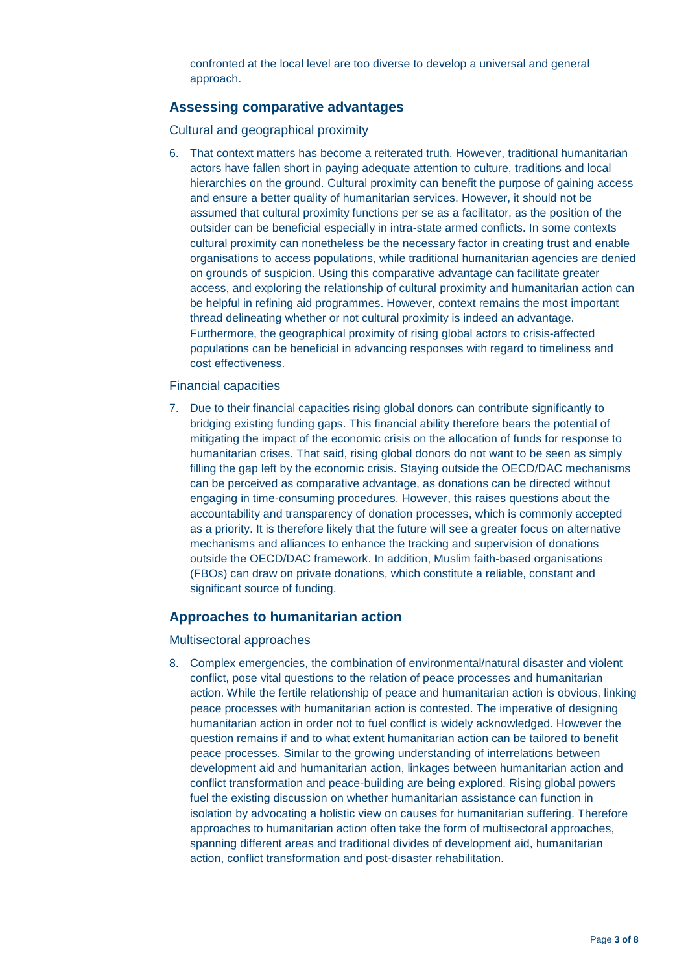confronted at the local level are too diverse to develop a universal and general approach.

### **Assessing comparative advantages**

Cultural and geographical proximity

6. That context matters has become a reiterated truth. However, traditional humanitarian actors have fallen short in paying adequate attention to culture, traditions and local hierarchies on the ground. Cultural proximity can benefit the purpose of gaining access and ensure a better quality of humanitarian services. However, it should not be assumed that cultural proximity functions per se as a facilitator, as the position of the outsider can be beneficial especially in intra-state armed conflicts. In some contexts cultural proximity can nonetheless be the necessary factor in creating trust and enable organisations to access populations, while traditional humanitarian agencies are denied on grounds of suspicion. Using this comparative advantage can facilitate greater access, and exploring the relationship of cultural proximity and humanitarian action can be helpful in refining aid programmes. However, context remains the most important thread delineating whether or not cultural proximity is indeed an advantage. Furthermore, the geographical proximity of rising global actors to crisis-affected populations can be beneficial in advancing responses with regard to timeliness and cost effectiveness.

#### Financial capacities

7. Due to their financial capacities rising global donors can contribute significantly to bridging existing funding gaps. This financial ability therefore bears the potential of mitigating the impact of the economic crisis on the allocation of funds for response to humanitarian crises. That said, rising global donors do not want to be seen as simply filling the gap left by the economic crisis. Staying outside the OECD/DAC mechanisms can be perceived as comparative advantage, as donations can be directed without engaging in time-consuming procedures. However, this raises questions about the accountability and transparency of donation processes, which is commonly accepted as a priority. It is therefore likely that the future will see a greater focus on alternative mechanisms and alliances to enhance the tracking and supervision of donations outside the OECD/DAC framework. In addition, Muslim faith-based organisations (FBOs) can draw on private donations, which constitute a reliable, constant and significant source of funding.

#### **Approaches to humanitarian action**

Multisectoral approaches

8. Complex emergencies, the combination of environmental/natural disaster and violent conflict, pose vital questions to the relation of peace processes and humanitarian action. While the fertile relationship of peace and humanitarian action is obvious, linking peace processes with humanitarian action is contested. The imperative of designing humanitarian action in order not to fuel conflict is widely acknowledged. However the question remains if and to what extent humanitarian action can be tailored to benefit peace processes. Similar to the growing understanding of interrelations between development aid and humanitarian action, linkages between humanitarian action and conflict transformation and peace-building are being explored. Rising global powers fuel the existing discussion on whether humanitarian assistance can function in isolation by advocating a holistic view on causes for humanitarian suffering. Therefore approaches to humanitarian action often take the form of multisectoral approaches, spanning different areas and traditional divides of development aid, humanitarian action, conflict transformation and post-disaster rehabilitation.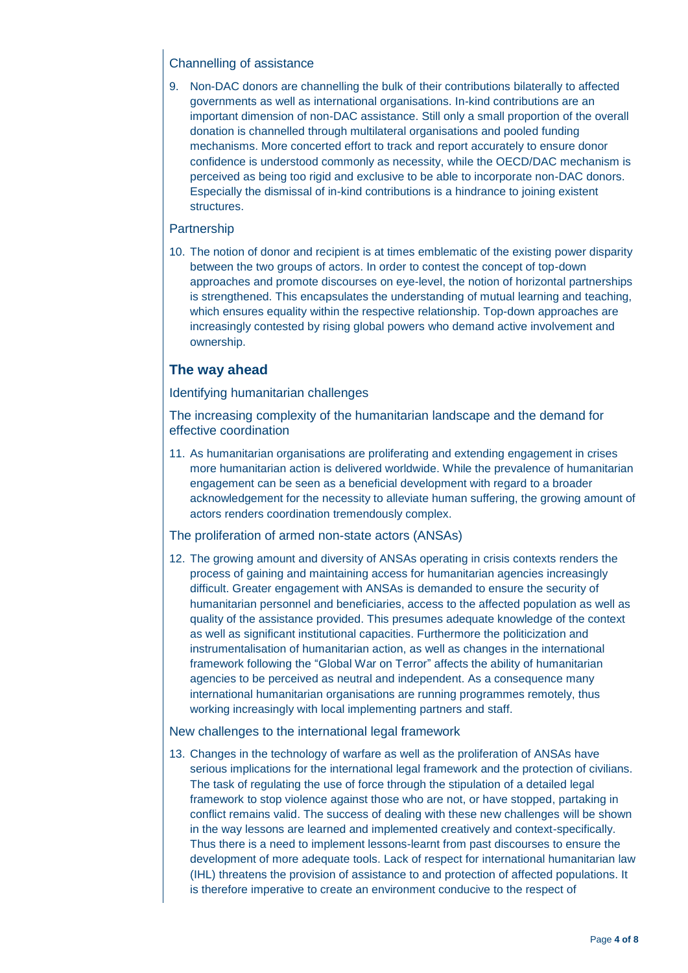### Channelling of assistance

9. Non-DAC donors are channelling the bulk of their contributions bilaterally to affected governments as well as international organisations. In-kind contributions are an important dimension of non-DAC assistance. Still only a small proportion of the overall donation is channelled through multilateral organisations and pooled funding mechanisms. More concerted effort to track and report accurately to ensure donor confidence is understood commonly as necessity, while the OECD/DAC mechanism is perceived as being too rigid and exclusive to be able to incorporate non-DAC donors. Especially the dismissal of in-kind contributions is a hindrance to joining existent structures.

#### **Partnership**

10. The notion of donor and recipient is at times emblematic of the existing power disparity between the two groups of actors. In order to contest the concept of top-down approaches and promote discourses on eye-level, the notion of horizontal partnerships is strengthened. This encapsulates the understanding of mutual learning and teaching, which ensures equality within the respective relationship. Top-down approaches are increasingly contested by rising global powers who demand active involvement and ownership.

## **The way ahead**

#### Identifying humanitarian challenges

The increasing complexity of the humanitarian landscape and the demand for effective coordination

11. As humanitarian organisations are proliferating and extending engagement in crises more humanitarian action is delivered worldwide. While the prevalence of humanitarian engagement can be seen as a beneficial development with regard to a broader acknowledgement for the necessity to alleviate human suffering, the growing amount of actors renders coordination tremendously complex.

#### The proliferation of armed non-state actors (ANSAs)

12. The growing amount and diversity of ANSAs operating in crisis contexts renders the process of gaining and maintaining access for humanitarian agencies increasingly difficult. Greater engagement with ANSAs is demanded to ensure the security of humanitarian personnel and beneficiaries, access to the affected population as well as quality of the assistance provided. This presumes adequate knowledge of the context as well as significant institutional capacities. Furthermore the politicization and instrumentalisation of humanitarian action, as well as changes in the international framework following the "Global War on Terror" affects the ability of humanitarian agencies to be perceived as neutral and independent. As a consequence many international humanitarian organisations are running programmes remotely, thus working increasingly with local implementing partners and staff.

#### New challenges to the international legal framework

13. Changes in the technology of warfare as well as the proliferation of ANSAs have serious implications for the international legal framework and the protection of civilians. The task of regulating the use of force through the stipulation of a detailed legal framework to stop violence against those who are not, or have stopped, partaking in conflict remains valid. The success of dealing with these new challenges will be shown in the way lessons are learned and implemented creatively and context-specifically. Thus there is a need to implement lessons-learnt from past discourses to ensure the development of more adequate tools. Lack of respect for international humanitarian law (IHL) threatens the provision of assistance to and protection of affected populations. It is therefore imperative to create an environment conducive to the respect of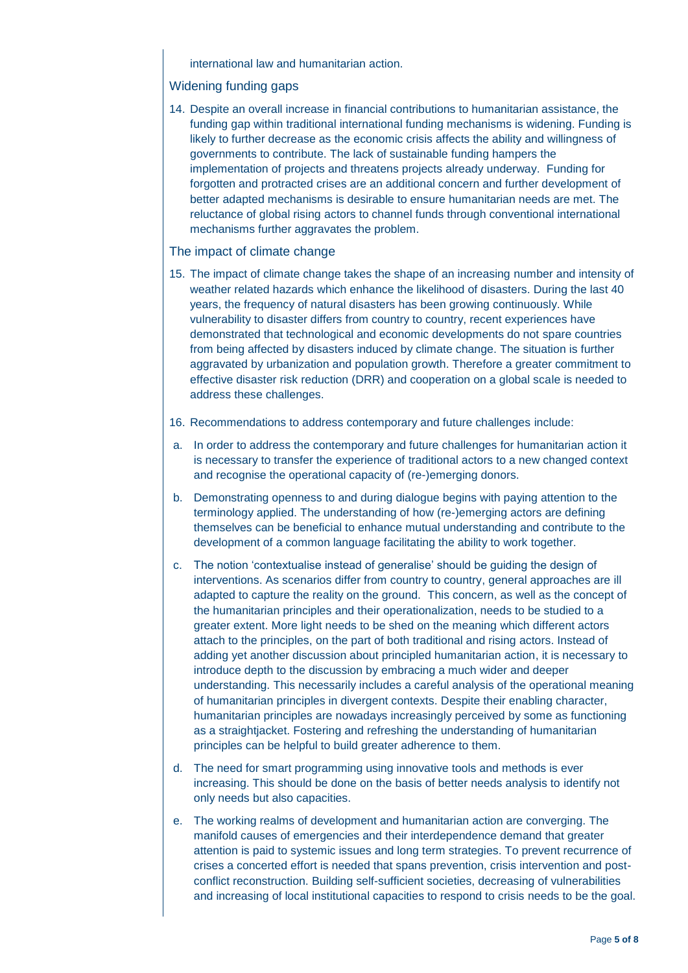international law and humanitarian action.

#### Widening funding gaps

14. Despite an overall increase in financial contributions to humanitarian assistance, the funding gap within traditional international funding mechanisms is widening. Funding is likely to further decrease as the economic crisis affects the ability and willingness of governments to contribute. The lack of sustainable funding hampers the implementation of projects and threatens projects already underway. Funding for forgotten and protracted crises are an additional concern and further development of better adapted mechanisms is desirable to ensure humanitarian needs are met. The reluctance of global rising actors to channel funds through conventional international mechanisms further aggravates the problem.

#### The impact of climate change

- 15. The impact of climate change takes the shape of an increasing number and intensity of weather related hazards which enhance the likelihood of disasters. During the last 40 years, the frequency of natural disasters has been growing continuously. While vulnerability to disaster differs from country to country, recent experiences have demonstrated that technological and economic developments do not spare countries from being affected by disasters induced by climate change. The situation is further aggravated by urbanization and population growth. Therefore a greater commitment to effective disaster risk reduction (DRR) and cooperation on a global scale is needed to address these challenges.
- 16. Recommendations to address contemporary and future challenges include:
- a. In order to address the contemporary and future challenges for humanitarian action it is necessary to transfer the experience of traditional actors to a new changed context and recognise the operational capacity of (re-)emerging donors.
- b. Demonstrating openness to and during dialogue begins with paying attention to the terminology applied. The understanding of how (re-)emerging actors are defining themselves can be beneficial to enhance mutual understanding and contribute to the development of a common language facilitating the ability to work together.
- c. The notion 'contextualise instead of generalise' should be guiding the design of interventions. As scenarios differ from country to country, general approaches are ill adapted to capture the reality on the ground. This concern, as well as the concept of the humanitarian principles and their operationalization, needs to be studied to a greater extent. More light needs to be shed on the meaning which different actors attach to the principles, on the part of both traditional and rising actors. Instead of adding yet another discussion about principled humanitarian action, it is necessary to introduce depth to the discussion by embracing a much wider and deeper understanding. This necessarily includes a careful analysis of the operational meaning of humanitarian principles in divergent contexts. Despite their enabling character, humanitarian principles are nowadays increasingly perceived by some as functioning as a straightjacket. Fostering and refreshing the understanding of humanitarian principles can be helpful to build greater adherence to them.
- d. The need for smart programming using innovative tools and methods is ever increasing. This should be done on the basis of better needs analysis to identify not only needs but also capacities.
- e. The working realms of development and humanitarian action are converging. The manifold causes of emergencies and their interdependence demand that greater attention is paid to systemic issues and long term strategies. To prevent recurrence of crises a concerted effort is needed that spans prevention, crisis intervention and postconflict reconstruction. Building self-sufficient societies, decreasing of vulnerabilities and increasing of local institutional capacities to respond to crisis needs to be the goal.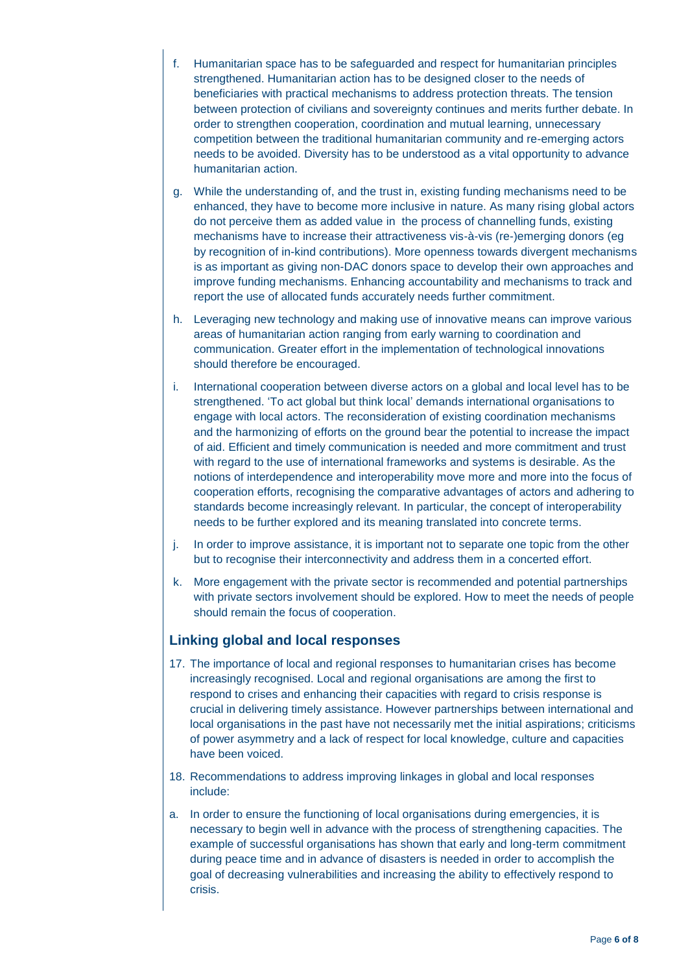- f. Humanitarian space has to be safeguarded and respect for humanitarian principles strengthened. Humanitarian action has to be designed closer to the needs of beneficiaries with practical mechanisms to address protection threats. The tension between protection of civilians and sovereignty continues and merits further debate. In order to strengthen cooperation, coordination and mutual learning, unnecessary competition between the traditional humanitarian community and re-emerging actors needs to be avoided. Diversity has to be understood as a vital opportunity to advance humanitarian action.
- g. While the understanding of, and the trust in, existing funding mechanisms need to be enhanced, they have to become more inclusive in nature. As many rising global actors do not perceive them as added value in the process of channelling funds, existing mechanisms have to increase their attractiveness vis-à-vis (re-)emerging donors (eg by recognition of in-kind contributions). More openness towards divergent mechanisms is as important as giving non-DAC donors space to develop their own approaches and improve funding mechanisms. Enhancing accountability and mechanisms to track and report the use of allocated funds accurately needs further commitment.
- h. Leveraging new technology and making use of innovative means can improve various areas of humanitarian action ranging from early warning to coordination and communication. Greater effort in the implementation of technological innovations should therefore be encouraged.
- i. International cooperation between diverse actors on a global and local level has to be strengthened. 'To act global but think local' demands international organisations to engage with local actors. The reconsideration of existing coordination mechanisms and the harmonizing of efforts on the ground bear the potential to increase the impact of aid. Efficient and timely communication is needed and more commitment and trust with regard to the use of international frameworks and systems is desirable. As the notions of interdependence and interoperability move more and more into the focus of cooperation efforts, recognising the comparative advantages of actors and adhering to standards become increasingly relevant. In particular, the concept of interoperability needs to be further explored and its meaning translated into concrete terms.
- j. In order to improve assistance, it is important not to separate one topic from the other but to recognise their interconnectivity and address them in a concerted effort.
- k. More engagement with the private sector is recommended and potential partnerships with private sectors involvement should be explored. How to meet the needs of people should remain the focus of cooperation.

## **Linking global and local responses**

- 17. The importance of local and regional responses to humanitarian crises has become increasingly recognised. Local and regional organisations are among the first to respond to crises and enhancing their capacities with regard to crisis response is crucial in delivering timely assistance. However partnerships between international and local organisations in the past have not necessarily met the initial aspirations; criticisms of power asymmetry and a lack of respect for local knowledge, culture and capacities have been voiced.
- 18. Recommendations to address improving linkages in global and local responses include:
- a. In order to ensure the functioning of local organisations during emergencies, it is necessary to begin well in advance with the process of strengthening capacities. The example of successful organisations has shown that early and long-term commitment during peace time and in advance of disasters is needed in order to accomplish the goal of decreasing vulnerabilities and increasing the ability to effectively respond to crisis.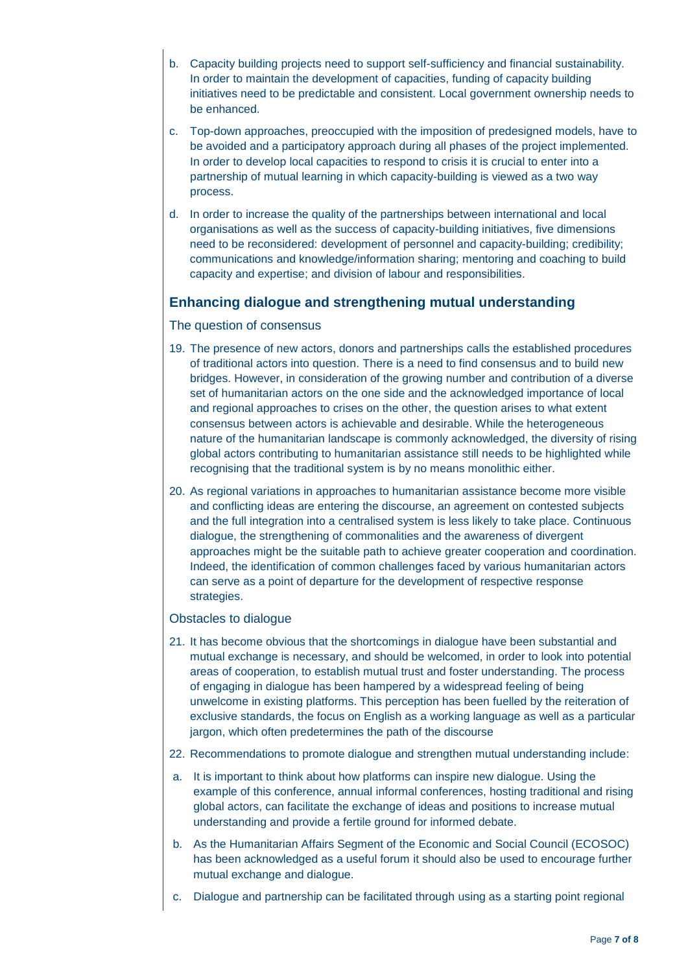- b. Capacity building projects need to support self-sufficiency and financial sustainability. In order to maintain the development of capacities, funding of capacity building initiatives need to be predictable and consistent. Local government ownership needs to be enhanced.
- c. Top-down approaches, preoccupied with the imposition of predesigned models, have to be avoided and a participatory approach during all phases of the project implemented. In order to develop local capacities to respond to crisis it is crucial to enter into a partnership of mutual learning in which capacity-building is viewed as a two way process.
- d. In order to increase the quality of the partnerships between international and local organisations as well as the success of capacity-building initiatives, five dimensions need to be reconsidered: development of personnel and capacity-building; credibility; communications and knowledge/information sharing; mentoring and coaching to build capacity and expertise; and division of labour and responsibilities.

## **Enhancing dialogue and strengthening mutual understanding**

#### The question of consensus

- 19. The presence of new actors, donors and partnerships calls the established procedures of traditional actors into question. There is a need to find consensus and to build new bridges. However, in consideration of the growing number and contribution of a diverse set of humanitarian actors on the one side and the acknowledged importance of local and regional approaches to crises on the other, the question arises to what extent consensus between actors is achievable and desirable. While the heterogeneous nature of the humanitarian landscape is commonly acknowledged, the diversity of rising global actors contributing to humanitarian assistance still needs to be highlighted while recognising that the traditional system is by no means monolithic either.
- 20. As regional variations in approaches to humanitarian assistance become more visible and conflicting ideas are entering the discourse, an agreement on contested subjects and the full integration into a centralised system is less likely to take place. Continuous dialogue, the strengthening of commonalities and the awareness of divergent approaches might be the suitable path to achieve greater cooperation and coordination. Indeed, the identification of common challenges faced by various humanitarian actors can serve as a point of departure for the development of respective response strategies.

#### Obstacles to dialogue

- 21. It has become obvious that the shortcomings in dialogue have been substantial and mutual exchange is necessary, and should be welcomed, in order to look into potential areas of cooperation, to establish mutual trust and foster understanding. The process of engaging in dialogue has been hampered by a widespread feeling of being unwelcome in existing platforms. This perception has been fuelled by the reiteration of exclusive standards, the focus on English as a working language as well as a particular jargon, which often predetermines the path of the discourse
- 22. Recommendations to promote dialogue and strengthen mutual understanding include:
- a. It is important to think about how platforms can inspire new dialogue. Using the example of this conference, annual informal conferences, hosting traditional and rising global actors, can facilitate the exchange of ideas and positions to increase mutual understanding and provide a fertile ground for informed debate.
- b. As the Humanitarian Affairs Segment of the Economic and Social Council (ECOSOC) has been acknowledged as a useful forum it should also be used to encourage further mutual exchange and dialogue.
- c. Dialogue and partnership can be facilitated through using as a starting point regional